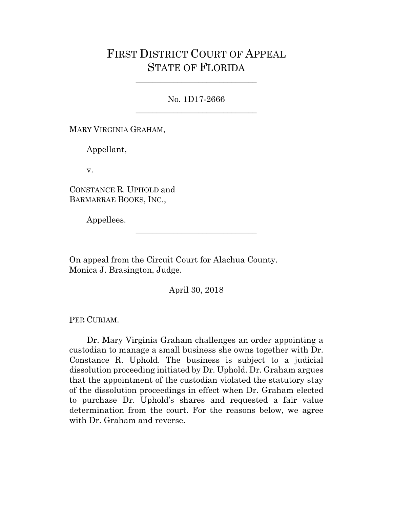## FIRST DISTRICT COURT OF APPEAL STATE OF FLORIDA

No. 1D17-2666 \_\_\_\_\_\_\_\_\_\_\_\_\_\_\_\_\_\_\_\_\_\_\_\_\_\_\_\_\_

\_\_\_\_\_\_\_\_\_\_\_\_\_\_\_\_\_\_\_\_\_\_\_\_\_\_\_\_\_

MARY VIRGINIA GRAHAM,

Appellant,

v.

CONSTANCE R. UPHOLD and BARMARRAE BOOKS, INC.,

Appellees.

On appeal from the Circuit Court for Alachua County. Monica J. Brasington, Judge.

April 30, 2018

\_\_\_\_\_\_\_\_\_\_\_\_\_\_\_\_\_\_\_\_\_\_\_\_\_\_\_\_\_

PER CURIAM.

Dr. Mary Virginia Graham challenges an order appointing a custodian to manage a small business she owns together with Dr. Constance R. Uphold. The business is subject to a judicial dissolution proceeding initiated by Dr. Uphold. Dr. Graham argues that the appointment of the custodian violated the statutory stay of the dissolution proceedings in effect when Dr. Graham elected to purchase Dr. Uphold's shares and requested a fair value determination from the court. For the reasons below, we agree with Dr. Graham and reverse.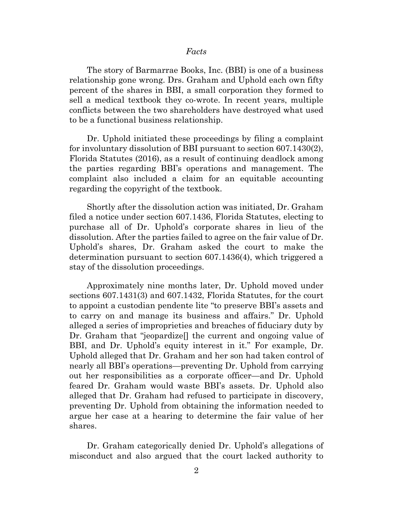## *Facts*

The story of Barmarrae Books, Inc. (BBI) is one of a business relationship gone wrong. Drs. Graham and Uphold each own fifty percent of the shares in BBI, a small corporation they formed to sell a medical textbook they co-wrote. In recent years, multiple conflicts between the two shareholders have destroyed what used to be a functional business relationship.

Dr. Uphold initiated these proceedings by filing a complaint for involuntary dissolution of BBI pursuant to section 607.1430(2), Florida Statutes (2016), as a result of continuing deadlock among the parties regarding BBI's operations and management. The complaint also included a claim for an equitable accounting regarding the copyright of the textbook.

Shortly after the dissolution action was initiated, Dr. Graham filed a notice under section 607.1436, Florida Statutes, electing to purchase all of Dr. Uphold's corporate shares in lieu of the dissolution. After the parties failed to agree on the fair value of Dr. Uphold's shares, Dr. Graham asked the court to make the determination pursuant to section 607.1436(4), which triggered a stay of the dissolution proceedings.

Approximately nine months later, Dr. Uphold moved under sections 607.1431(3) and 607.1432, Florida Statutes, for the court to appoint a custodian pendente lite "to preserve BBI's assets and to carry on and manage its business and affairs." Dr. Uphold alleged a series of improprieties and breaches of fiduciary duty by Dr. Graham that "jeopardize<sup>[]</sup> the current and ongoing value of BBI, and Dr. Uphold's equity interest in it." For example, Dr. Uphold alleged that Dr. Graham and her son had taken control of nearly all BBI's operations—preventing Dr. Uphold from carrying out her responsibilities as a corporate officer—and Dr. Uphold feared Dr. Graham would waste BBI's assets. Dr. Uphold also alleged that Dr. Graham had refused to participate in discovery, preventing Dr. Uphold from obtaining the information needed to argue her case at a hearing to determine the fair value of her shares.

Dr. Graham categorically denied Dr. Uphold's allegations of misconduct and also argued that the court lacked authority to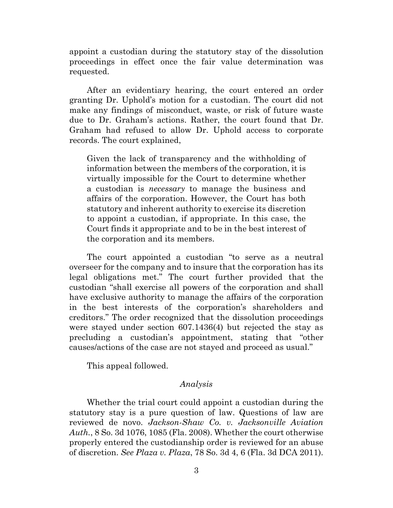appoint a custodian during the statutory stay of the dissolution proceedings in effect once the fair value determination was requested.

After an evidentiary hearing, the court entered an order granting Dr. Uphold's motion for a custodian. The court did not make any findings of misconduct, waste, or risk of future waste due to Dr. Graham's actions. Rather, the court found that Dr. Graham had refused to allow Dr. Uphold access to corporate records. The court explained,

Given the lack of transparency and the withholding of information between the members of the corporation, it is virtually impossible for the Court to determine whether a custodian is *necessary* to manage the business and affairs of the corporation. However, the Court has both statutory and inherent authority to exercise its discretion to appoint a custodian, if appropriate. In this case, the Court finds it appropriate and to be in the best interest of the corporation and its members.

The court appointed a custodian "to serve as a neutral overseer for the company and to insure that the corporation has its legal obligations met." The court further provided that the custodian "shall exercise all powers of the corporation and shall have exclusive authority to manage the affairs of the corporation in the best interests of the corporation's shareholders and creditors." The order recognized that the dissolution proceedings were stayed under section 607.1436(4) but rejected the stay as precluding a custodian's appointment, stating that "other causes/actions of the case are not stayed and proceed as usual."

This appeal followed.

## *Analysis*

Whether the trial court could appoint a custodian during the statutory stay is a pure question of law. Questions of law are reviewed de novo. *Jackson-Shaw Co. v. Jacksonville Aviation Auth.*, 8 So. 3d 1076, 1085 (Fla. 2008). Whether the court otherwise properly entered the custodianship order is reviewed for an abuse of discretion. *See Plaza v. Plaza*, 78 So. 3d 4, 6 (Fla. 3d DCA 2011).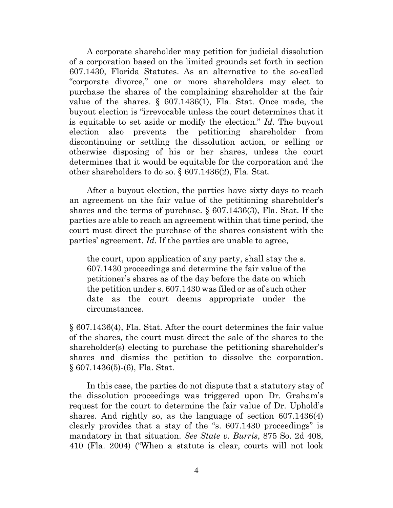A corporate shareholder may petition for judicial dissolution of a corporation based on the limited grounds set forth in section 607.1430, Florida Statutes. As an alternative to the so-called "corporate divorce," one or more shareholders may elect to purchase the shares of the complaining shareholder at the fair value of the shares. § 607.1436(1), Fla. Stat. Once made, the buyout election is "irrevocable unless the court determines that it is equitable to set aside or modify the election." *Id.* The buyout election also prevents the petitioning shareholder from discontinuing or settling the dissolution action, or selling or otherwise disposing of his or her shares, unless the court determines that it would be equitable for the corporation and the other shareholders to do so. § 607.1436(2), Fla. Stat.

After a buyout election, the parties have sixty days to reach an agreement on the fair value of the petitioning shareholder's shares and the terms of purchase. § 607.1436(3), Fla. Stat. If the parties are able to reach an agreement within that time period, the court must direct the purchase of the shares consistent with the parties' agreement. *Id.* If the parties are unable to agree,

the court, upon application of any party, shall stay the s. 607.1430 proceedings and determine the fair value of the petitioner's shares as of the day before the date on which the petition under s. 607.1430 was filed or as of such other date as the court deems appropriate under the circumstances.

§ 607.1436(4), Fla. Stat. After the court determines the fair value of the shares, the court must direct the sale of the shares to the shareholder(s) electing to purchase the petitioning shareholder's shares and dismiss the petition to dissolve the corporation. § 607.1436(5)-(6), Fla. Stat.

In this case, the parties do not dispute that a statutory stay of the dissolution proceedings was triggered upon Dr. Graham's request for the court to determine the fair value of Dr. Uphold's shares. And rightly so, as the language of section 607.1436(4) clearly provides that a stay of the "s. 607.1430 proceedings" is mandatory in that situation. *See State v. Burris*, 875 So. 2d 408, 410 (Fla. 2004) ("When a statute is clear, courts will not look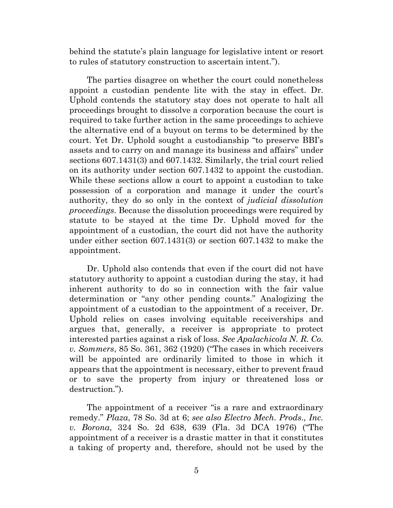behind the statute's plain language for legislative intent or resort to rules of statutory construction to ascertain intent.").

The parties disagree on whether the court could nonetheless appoint a custodian pendente lite with the stay in effect. Dr. Uphold contends the statutory stay does not operate to halt all proceedings brought to dissolve a corporation because the court is required to take further action in the same proceedings to achieve the alternative end of a buyout on terms to be determined by the court. Yet Dr. Uphold sought a custodianship "to preserve BBI's assets and to carry on and manage its business and affairs" under sections 607.1431(3) and 607.1432. Similarly, the trial court relied on its authority under section 607.1432 to appoint the custodian. While these sections allow a court to appoint a custodian to take possession of a corporation and manage it under the court's authority, they do so only in the context of *judicial dissolution proceedings.* Because the dissolution proceedings were required by statute to be stayed at the time Dr. Uphold moved for the appointment of a custodian, the court did not have the authority under either section 607.1431(3) or section 607.1432 to make the appointment.

Dr. Uphold also contends that even if the court did not have statutory authority to appoint a custodian during the stay, it had inherent authority to do so in connection with the fair value determination or "any other pending counts." Analogizing the appointment of a custodian to the appointment of a receiver, Dr. Uphold relies on cases involving equitable receiverships and argues that, generally, a receiver is appropriate to protect interested parties against a risk of loss. *See Apalachicola N. R. Co. v. Sommers*, 85 So. 361, 362 (1920) ("The cases in which receivers will be appointed are ordinarily limited to those in which it appears that the appointment is necessary, either to prevent fraud or to save the property from injury or threatened loss or destruction.").

The appointment of a receiver "is a rare and extraordinary remedy." *Plaza*, 78 So. 3d at 6; *see also Electro Mech. Prods., Inc. v. Borona*, 324 So. 2d 638, 639 (Fla. 3d DCA 1976) ("The appointment of a receiver is a drastic matter in that it constitutes a taking of property and, therefore, should not be used by the